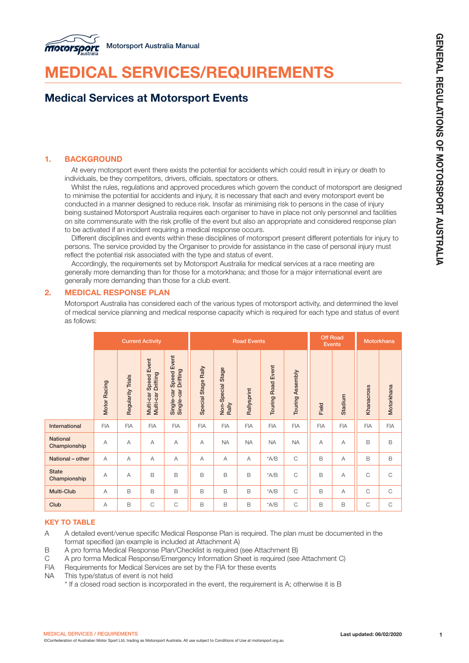

# MEDICAL SERVICES/REQUIREMENTS

# Medical Services at Motorsport Events

# 1. BACKGROUND

At every motorsport event there exists the potential for accidents which could result in injury or death to individuals, be they competitors, drivers, officials, spectators or others.

Whilst the rules, regulations and approved procedures which govern the conduct of motorsport are designed to minimise the potential for accidents and injury, it is necessary that each and every motorsport event be conducted in a manner designed to reduce risk. Insofar as minimising risk to persons in the case of injury being sustained Motorsport Australia requires each organiser to have in place not only personnel and facilities on site commensurate with the risk profile of the event but also an appropriate and considered response plan to be activated if an incident requiring a medical response occurs.

Different disciplines and events within these disciplines of motorsport present different potentials for injury to persons. The service provided by the Organiser to provide for assistance in the case of personal injury must reflect the potential risk associated with the type and status of event.

Accordingly, the requirements set by Motorsport Australia for medical services at a race meeting are generally more demanding than for those for a motorkhana; and those for a major international event are generally more demanding than those for a club event.

# 2. MEDICAL RESPONSE PLAN

Motorsport Australia has considered each of the various types of motorsport activity, and determined the level of medical service planning and medical response capacity which is required for each type and status of event as follows:

|                                 | <b>Current Activity</b> |                          |                                                       |                                               | <b>Road Events</b>  |                                 |             |                           |                  | <b>Off Road</b><br><b>Events</b> |            | Motorkhana                |              |
|---------------------------------|-------------------------|--------------------------|-------------------------------------------------------|-----------------------------------------------|---------------------|---------------------------------|-------------|---------------------------|------------------|----------------------------------|------------|---------------------------|--------------|
|                                 | Motor Racing            | <b>Regularity Trials</b> | <b>Speed Event</b><br>Multi-car Drifting<br>Multi-car | Single-car Speed Event<br>Single-car Drifting | Special Stage Rally | Stage<br>Non-Special 9<br>Rally | Rallysprint | <b>Touring Road Event</b> | Touring Assembly | Field                            | Stadium    | Khanacross                | Motorkhana   |
| International                   | <b>FIA</b>              | <b>FIA</b>               | <b>FIA</b>                                            | <b>FIA</b>                                    | <b>FIA</b>          | <b>FIA</b>                      | <b>FIA</b>  | <b>FIA</b>                | <b>FIA</b>       | <b>FIA</b>                       | <b>FIA</b> | <b>FIA</b>                | <b>FIA</b>   |
| <b>National</b><br>Championship | A                       | A                        | А                                                     | $\overline{A}$                                | A                   | <b>NA</b>                       | <b>NA</b>   | <b>NA</b>                 | <b>NA</b>        | A                                | A          | B                         | B            |
| National - other                | A                       | A                        | А                                                     | А                                             | A                   | A                               | А           | $^{\star}$ A/B            | $\mathsf C$      | B                                | A          | B                         | B            |
| <b>State</b><br>Championship    | $\overline{A}$          | A                        | B                                                     | B                                             | B                   | B                               | B           | $^*A/B$                   | $\mathsf C$      | B                                | A          | $\mathsf C$               | $\mathsf{C}$ |
| Multi-Club                      | А                       | B                        | B                                                     | B                                             | B                   | B                               | B           | $^{\star}$ A/B            | $\mathsf C$      | B                                | A          | $\mathsf C$               | $\mathsf{C}$ |
| Club                            | Α                       | B                        | $\mathsf C$                                           | $\mathsf{C}$                                  | B                   | B                               | B           | $^{\star}$ A/B            | $\mathsf C$      | B                                | B          | $\mathop{\rm C}\nolimits$ | $\mathsf{C}$ |

# KEY TO TABLE

- A A detailed event/venue specific Medical Response Plan is required. The plan must be documented in the format specified (an example is included at Attachment A)
- B A pro forma Medical Response Plan/Checklist is required (see Attachment B)
- C A pro forma Medical Response/Emergency Information Sheet is required (see Attachment C)
- FIA Requirements for Medical Services are set by the FIA for these events
- NA This type/status of event is not held
	- \* If a closed road section is incorporated in the event, the requirement is A; otherwise it is B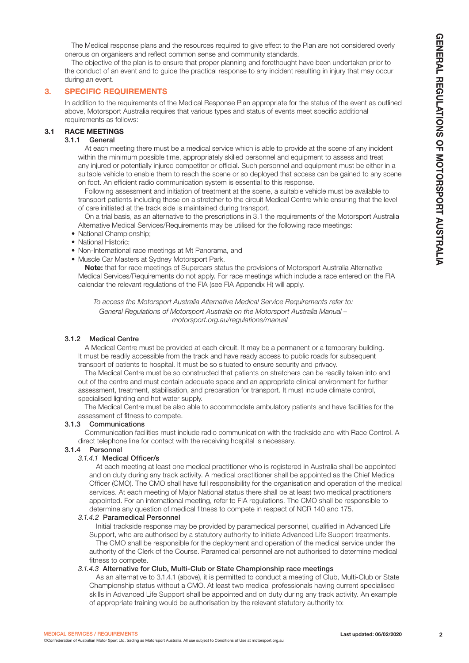The Medical response plans and the resources required to give effect to the Plan are not considered overly onerous on organisers and reflect common sense and community standards.

The objective of the plan is to ensure that proper planning and forethought have been undertaken prior to the conduct of an event and to guide the practical response to any incident resulting in injury that may occur during an event.

# 3. SPECIFIC REQUIREMENTS

In addition to the requirements of the Medical Response Plan appropriate for the status of the event as outlined above, Motorsport Australia requires that various types and status of events meet specific additional requirements as follows:

# 3.1 RACE MEETINGS

# 3.1.1 General

At each meeting there must be a medical service which is able to provide at the scene of any incident within the minimum possible time, appropriately skilled personnel and equipment to assess and treat any injured or potentially injured competitor or official. Such personnel and equipment must be either in a suitable vehicle to enable them to reach the scene or so deployed that access can be gained to any scene on foot. An efficient radio communication system is essential to this response.

Following assessment and initiation of treatment at the scene, a suitable vehicle must be available to transport patients including those on a stretcher to the circuit Medical Centre while ensuring that the level of care initiated at the track side is maintained during transport.

On a trial basis, as an alternative to the prescriptions in 3.1 the requirements of the Motorsport Australia Alternative Medical Services/Requirements may be utilised for the following race meetings:

- National Championship;
- National Historic;
- Non-International race meetings at Mt Panorama, and
- Muscle Car Masters at Sydney Motorsport Park.

Note: that for race meetings of Supercars status the provisions of Motorsport Australia Alternative Medical Services/Requirements do not apply. For race meetings which include a race entered on the FIA calendar the relevant regulations of the FIA (see FIA Appendix H) will apply.

*To access the Motorsport Australia Alternative Medical Service Requirements refer to: General Regulations of Motorsport Australia on the Motorsport Australia Manual – motorsport.org.au/regulations/manual*

### 3.1.2 Medical Centre

A Medical Centre must be provided at each circuit. It may be a permanent or a temporary building. It must be readily accessible from the track and have ready access to public roads for subsequent transport of patients to hospital. It must be so situated to ensure security and privacy.

The Medical Centre must be so constructed that patients on stretchers can be readily taken into and out of the centre and must contain adequate space and an appropriate clinical environment for further assessment, treatment, stabilisation, and preparation for transport. It must include climate control, specialised lighting and hot water supply.

The Medical Centre must be also able to accommodate ambulatory patients and have facilities for the assessment of fitness to compete.

#### 3.1.3 Communications

Communication facilities must include radio communication with the trackside and with Race Control. A direct telephone line for contact with the receiving hospital is necessary.

#### 3.1.4 Personnel

#### *3.1.4.1* Medical Officer/s

At each meeting at least one medical practitioner who is registered in Australia shall be appointed and on duty during any track activity. A medical practitioner shall be appointed as the Chief Medical Officer (CMO). The CMO shall have full responsibility for the organisation and operation of the medical services. At each meeting of Major National status there shall be at least two medical practitioners appointed. For an international meeting, refer to FIA regulations. The CMO shall be responsible to determine any question of medical fitness to compete in respect of NCR 140 and 175.

#### *3.1.4.2* Paramedical Personnel

Initial trackside response may be provided by paramedical personnel, qualified in Advanced Life Support, who are authorised by a statutory authority to initiate Advanced Life Support treatments. The CMO shall be responsible for the deployment and operation of the medical service under the authority of the Clerk of the Course. Paramedical personnel are not authorised to determine medical fitness to compete.

#### *3.1.4.3* Alternative for Club, Multi-Club or State Championship race meetings

As an alternative to 3.1.4.1 (above), it is permitted to conduct a meeting of Club, Multi-Club or State Championship status without a CMO. At least two medical professionals having current specialised skills in Advanced Life Support shall be appointed and on duty during any track activity. An example of appropriate training would be authorisation by the relevant statutory authority to: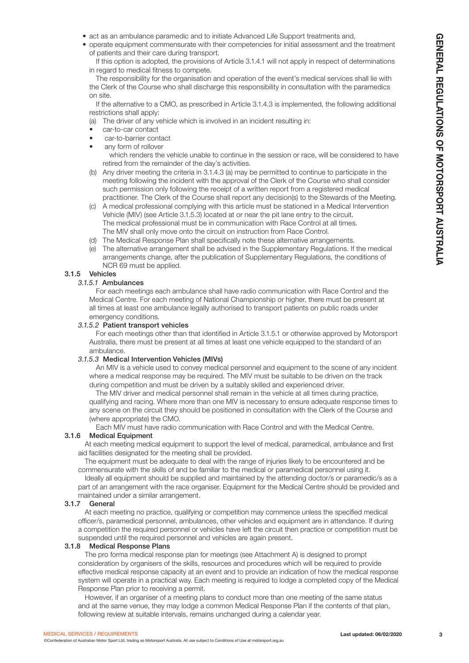- act as an ambulance paramedic and to initiate Advanced Life Support treatments and,
- operate equipment commensurate with their competencies for initial assessment and the treatment of patients and their care during transport.

If this option is adopted, the provisions of Article 3.1.4.1 will not apply in respect of determinations in regard to medical fitness to compete.

The responsibility for the organisation and operation of the event's medical services shall lie with the Clerk of the Course who shall discharge this responsibility in consultation with the paramedics on site.

If the alternative to a CMO, as prescribed in Article 3.1.4.3 is implemented, the following additional restrictions shall apply:

(a) The driver of any vehicle which is involved in an incident resulting in:

- car-to-car contact
- car-to-barrier contact
- any form of rollover

which renders the vehicle unable to continue in the session or race, will be considered to have retired from the remainder of the day's activities.

- (b) Any driver meeting the criteria in 3.1.4.3 (a) may be permitted to continue to participate in the meeting following the incident with the approval of the Clerk of the Course who shall consider such permission only following the receipt of a written report from a registered medical practitioner. The Clerk of the Course shall report any decision(s) to the Stewards of the Meeting.
- (c) A medical professional complying with this article must be stationed in a Medical Intervention Vehicle (MIV) (see Article 3.1.5.3) located at or near the pit lane entry to the circuit. The medical professional must be in communication with Race Control at all times. The MIV shall only move onto the circuit on instruction from Race Control.
- (d) The Medical Response Plan shall specifically note these alternative arrangements.
- (e) The alternative arrangement shall be advised in the Supplementary Regulations. If the medical arrangements change, after the publication of Supplementary Regulations, the conditions of NCR 69 must be applied.

#### 3.1.5 Vehicles

#### *3.1.5.1* Ambulances

For each meetings each ambulance shall have radio communication with Race Control and the Medical Centre. For each meeting of National Championship or higher, there must be present at all times at least one ambulance legally authorised to transport patients on public roads under emergency conditions.

#### *3.1.5.2* Patient transport vehicles

For each meetings other than that identified in Article 3.1.5.1 or otherwise approved by Motorsport Australia, there must be present at all times at least one vehicle equipped to the standard of an ambulance.

#### *3.1.5.3* Medical Intervention Vehicles (MIVs)

An MIV is a vehicle used to convey medical personnel and equipment to the scene of any incident where a medical response may be required. The MIV must be suitable to be driven on the track during competition and must be driven by a suitably skilled and experienced driver.

The MIV driver and medical personnel shall remain in the vehicle at all times during practice, qualifying and racing. Where more than one MIV is necessary to ensure adequate response times to any scene on the circuit they should be positioned in consultation with the Clerk of the Course and (where appropriate) the CMO.

Each MIV must have radio communication with Race Control and with the Medical Centre.

#### 3.1.6 Medical Equipment

At each meeting medical equipment to support the level of medical, paramedical, ambulance and first aid facilities designated for the meeting shall be provided.

The equipment must be adequate to deal with the range of injuries likely to be encountered and be commensurate with the skills of and be familiar to the medical or paramedical personnel using it.

Ideally all equipment should be supplied and maintained by the attending doctor/s or paramedic/s as a part of an arrangement with the race organiser. Equipment for the Medical Centre should be provided and maintained under a similar arrangement.

### 3.1.7 General

At each meeting no practice, qualifying or competition may commence unless the specified medical officer/s, paramedical personnel, ambulances, other vehicles and equipment are in attendance. If during a competition the required personnel or vehicles have left the circuit then practice or competition must be suspended until the required personnel and vehicles are again present.

#### 3.1.8 Medical Response Plans

The pro forma medical response plan for meetings (see Attachment A) is designed to prompt consideration by organisers of the skills, resources and procedures which will be required to provide effective medical response capacity at an event and to provide an indication of how the medical response system will operate in a practical way. Each meeting is required to lodge a completed copy of the Medical Response Plan prior to receiving a permit.

However, if an organiser of a meeting plans to conduct more than one meeting of the same status and at the same venue, they may lodge a common Medical Response Plan if the contents of that plan, following review at suitable intervals, remains unchanged during a calendar year.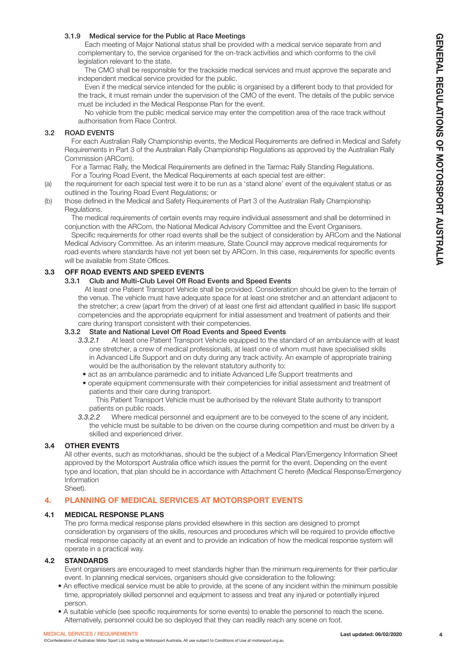#### 3.1.9 Medical service for the Public at Race Meetings

Each meeting of Major National status shall be provided with a medical service separate from and complementary to, the service organised for the on-track activities and which conforms to the civil legislation relevant to the state.

The CMO shall be responsible for the trackside medical services and must approve the separate and independent medical service provided for the public.

Even if the medical service intended for the public is organised by a different body to that provided for the track, it must remain under the supervision of the CMO of the event. The details of the public service must be included in the Medical Response Plan for the event.

No vehicle from the public medical service may enter the competition area of the race track without authorisation from Race Control.

#### 3.2 ROAD EVENTS

For each Australian Rally Championship events, the Medical Requirements are defined in Medical and Safety Requirements in Part 3 of the Australian Rally Championship Regulations as approved by the Australian Rally Commission (ARCom).

For a Tarmac Rally, the Medical Requirements are defined in the Tarmac Rally Standing Regulations. For a Touring Road Event, the Medical Requirements at each special test are either:

- (a) the requirement for each special test were it to be run as a 'stand alone' event of the equivalent status or as outlined in the Touring Road Event Regulations; or
- (b) those defined in the Medical and Safety Requirements of Part 3 of the Australian Rally Championship Regulations.

The medical requirements of certain events may require individual assessment and shall be determined in conjunction with the ARCom, the National Medical Advisory Committee and the Event Organisers.

Specific requirements for other road events shall be the subject of consideration by ARCom and the National Medical Advisory Committee. As an interim measure, State Council may approve medical requirements for road events where standards have not yet been set by ARCom. In this case, requirements for specific events will be available from State Offices.

# 3.3 OFF ROAD EVENTS AND SPEED EVENTS

# 3.3.1 Club and Multi-Club Level Off Road Events and Speed Events

At least one Patient Transport Vehicle shall be provided. Consideration should be given to the terrain of the venue. The vehicle must have adequate space for at least one stretcher and an attendant adjacent to the stretcher; a crew (apart from the driver) of at least one first aid attendant qualified in basic life support competencies and the appropriate equipment for initial assessment and treatment of patients and their care during transport consistent with their competencies.

#### 3.3.2 State and National Level Off Road Events and Speed Events

- *3.3.2.1* At least one Patient Transport Vehicle equipped to the standard of an ambulance with at least one stretcher, a crew of medical professionals, at least one of whom must have specialised skills in Advanced Life Support and on duty during any track activity. An example of appropriate training would be the authorisation by the relevant statutory authority to:
- act as an ambulance paramedic and to initiate Advanced Life Support treatments and
- operate equipment commensurate with their competencies for initial assessment and treatment of patients and their care during transport.

This Patient Transport Vehicle must be authorised by the relevant State authority to transport patients on public roads.

*3.3.2.2* Where medical personnel and equipment are to be conveyed to the scene of any incident, the vehicle must be suitable to be driven on the course during competition and must be driven by a skilled and experienced driver.

#### 3.4 OTHER EVENTS

All other events, such as motorkhanas, should be the subject of a Medical Plan/Emergency Information Sheet approved by the Motorsport Australia office which issues the permit for the event. Depending on the event type and location, that plan should be in accordance with Attachment C hereto (Medical Response/Emergency Information

# Sheet).

# 4. PLANNING OF MEDICAL SERVICES AT MOTORSPORT EVENTS

#### 4.1 MEDICAL RESPONSE PLANS

The pro forma medical response plans provided elsewhere in this section are designed to prompt consideration by organisers of the skills, resources and procedures which will be required to provide effective medical response capacity at an event and to provide an indication of how the medical response system will operate in a practical way.

#### 4.2 STANDARDS

Event organisers are encouraged to meet standards higher than the minimum requirements for their particular event. In planning medical services, organisers should give consideration to the following:

- An effective medical service must be able to provide, at the scene of any incident within the minimum possible time, appropriately skilled personnel and equipment to assess and treat any injured or potentially injured person.
- A suitable vehicle (see specific requirements for some events) to enable the personnel to reach the scene. Alternatively, personnel could be so deployed that they can readily reach any scene on foot.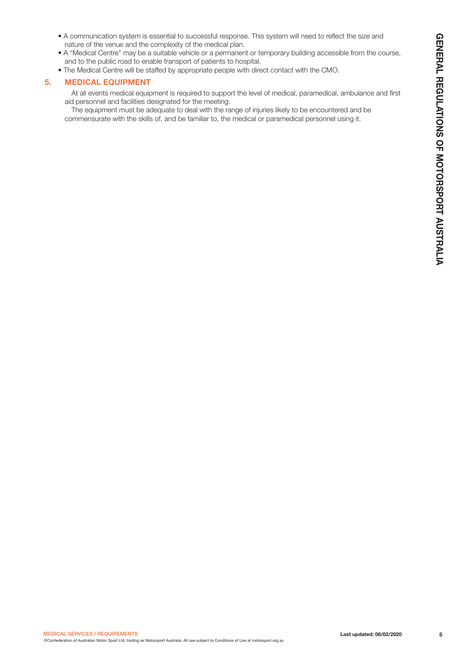- A communication system is essential to successful response. This system will need to reflect the size and nature of the venue and the complexity of the medical plan.
- A "Medical Centre" may be a suitable vehicle or a permanent or temporary building accessible from the course, and to the public road to enable transport of patients to hospital.
- The Medical Centre will be staffed by appropriate people with direct contact with the CMO.

# 5. MEDICAL EQUIPMENT

- At all events medical equipment is required to support the level of medical, paramedical, ambulance and first aid personnel and facilities designated for the meeting.
- The equipment must be adequate to deal with the range of injuries likely to be encountered and be commensurate with the skills of, and be familiar to, the medical or paramedical personnel using it.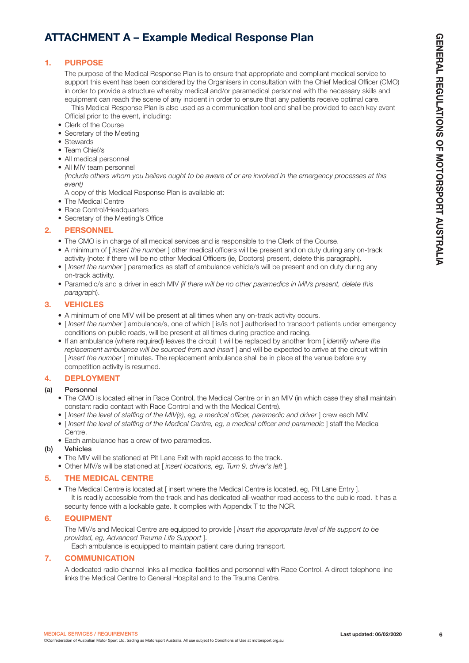# ATTACHMENT A – Example Medical Response Plan

# 1. PURPOSE

The purpose of the Medical Response Plan is to ensure that appropriate and compliant medical service to support this event has been considered by the Organisers in consultation with the Chief Medical Officer (CMO) in order to provide a structure whereby medical and/or paramedical personnel with the necessary skills and equipment can reach the scene of any incident in order to ensure that any patients receive optimal care.

This Medical Response Plan is also used as a communication tool and shall be provided to each key event Official prior to the event, including:

- Clerk of the Course
- Secretary of the Meeting
- Stewards
- Team Chief/s
- All medical personnel
- All MIV team personnel

*(Include others whom you believe ought to be aware of or are involved in the emergency processes at this event)*

A copy of this Medical Response Plan is available at:

- The Medical Centre
- Race Control/Headquarters
- Secretary of the Meeting's Office

# 2. PERSONNEL

- The CMO is in charge of all medical services and is responsible to the Clerk of the Course.
- A minimum of [ *insert the number* ] other medical officers will be present and on duty during any on-track activity (note: if there will be no other Medical Officers (ie, Doctors) present, delete this paragraph).
- [ *Insert the number* ] paramedics as staff of ambulance vehicle/s will be present and on duty during any on-track activity.
- Paramedic/s and a driver in each MIV *(if there will be no other paramedics in MIVs present, delete this paragr*aph).

# 3. VEHICLES

- A minimum of one MIV will be present at all times when any on-track activity occurs.
- [ *Insert the number* ] ambulance/s, one of which [ is/is not ] authorised to transport patients under emergency conditions on public roads, will be present at all times during practice and racing.
- If an ambulance (where required) leaves the circuit it will be replaced by another from [ *identify where the*  replacement ambulance will be sourced from and insert I and will be expected to arrive at the circuit within [ *insert the number* ] minutes. The replacement ambulance shall be in place at the venue before any competition activity is resumed.

# 4. DEPLOYMENT

# (a) Personnel

- The CMO is located either in Race Control, the Medical Centre or in an MIV (in which case they shall maintain constant radio contact with Race Control and with the Medical Centre).
- [*Insert the level of staffing of the MIV(s), eg, a medical officer, paramedic and driver* ] crew each MIV.
- [ *Insert the level of staffing of the Medical Centre, eg, a medical officer and paramedic* ] staff the Medical Centre.
- Each ambulance has a crew of two paramedics.

# (b) Vehicles

- The MIV will be stationed at Pit Lane Exit with rapid access to the track.
- Other MIV/s will be stationed at [ *insert locations, eg, Turn 9, driver's left* ].

# 5. THE MEDICAL CENTRE

• The Medical Centre is located at [ insert where the Medical Centre is located, eg, Pit Lane Entry ]. It is readily accessible from the track and has dedicated all-weather road access to the public road. It has a security fence with a lockable gate. It complies with Appendix T to the NCR.

# 6. EQUIPMENT

The MIV/s and Medical Centre are equipped to provide [ *insert the appropriate level of life support to be provided, eg, Advanced Trauma Life Support* ].

Each ambulance is equipped to maintain patient care during transport.

# 7. COMMUNICATION

A dedicated radio channel links all medical facilities and personnel with Race Control. A direct telephone line links the Medical Centre to General Hospital and to the Trauma Centre.